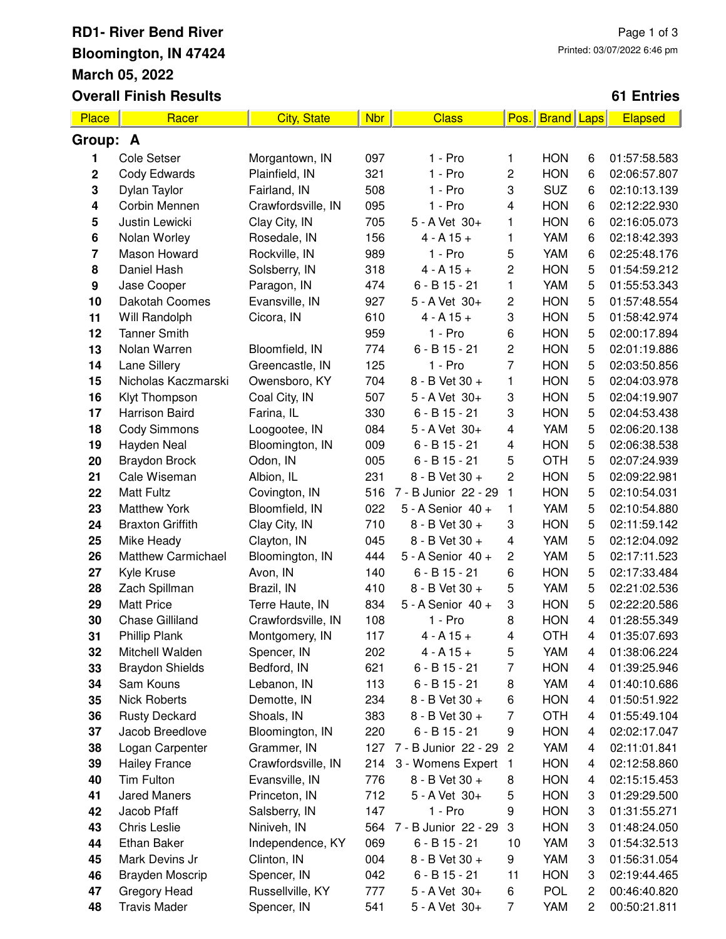# **RD1- River Bend River Bloomington, IN 47424 March 05, 2022 Overall Finish Results**

### **61 Entries**

| <b>Place</b> | Racer                               | <b>City, State</b> | <b>Nbr</b> | <b>Class</b>         | Pos.                    | <b>Brand Laps</b> |        | Elapsed      |
|--------------|-------------------------------------|--------------------|------------|----------------------|-------------------------|-------------------|--------|--------------|
| Group: A     |                                     |                    |            |                      |                         |                   |        |              |
| 1            | Cole Setser                         | Morgantown, IN     | 097        | 1 - Pro              | 1                       | <b>HON</b>        | 6      | 01:57:58.583 |
| $\mathbf 2$  | Cody Edwards                        | Plainfield, IN     | 321        | $1 - Pro$            | $\overline{c}$          | <b>HON</b>        | 6      | 02:06:57.807 |
| 3            | Dylan Taylor                        | Fairland, IN       | 508        | $1 - Pro$            | 3                       | <b>SUZ</b>        | 6      | 02:10:13.139 |
| 4            | Corbin Mennen                       | Crawfordsville, IN | 095        | $1 - Pro$            | 4                       | <b>HON</b>        | 6      | 02:12:22.930 |
| 5            | Justin Lewicki                      | Clay City, IN      | 705        | 5 - A Vet 30+        | 1                       | <b>HON</b>        | 6      | 02:16:05.073 |
| 6            | Nolan Worley                        | Rosedale, IN       | 156        | $4 - A 15 +$         | 1                       | YAM               | 6      | 02:18:42.393 |
| 7            | Mason Howard                        | Rockville, IN      | 989        | $1 - Pro$            | 5                       | YAM               | 6      | 02:25:48.176 |
| 8            | Daniel Hash                         | Solsberry, IN      | 318        | $4 - A 15 +$         | $\mathbf 2$             | <b>HON</b>        | 5      | 01:54:59.212 |
| 9            | Jase Cooper                         | Paragon, IN        | 474        | $6 - B$ 15 - 21      | 1                       | <b>YAM</b>        | 5      | 01:55:53.343 |
| 10           | Dakotah Coomes                      | Evansville, IN     | 927        | 5 - A Vet 30+        | 2                       | <b>HON</b>        | 5      | 01:57:48.554 |
| 11           | Will Randolph                       | Cicora, IN         | 610        | $4 - A 15 +$         | 3                       | <b>HON</b>        | 5      | 01:58:42.974 |
| 12           | <b>Tanner Smith</b>                 |                    | 959        | $1 - Pro$            | 6                       | <b>HON</b>        | 5      | 02:00:17.894 |
| 13           | Nolan Warren                        | Bloomfield, IN     | 774        | $6 - B$ 15 - 21      | $\overline{c}$          | <b>HON</b>        | 5      | 02:01:19.886 |
| 14           | Lane Sillery                        | Greencastle, IN    | 125        | 1 - Pro              | $\overline{7}$          | <b>HON</b>        | 5      | 02:03:50.856 |
| 15           | Nicholas Kaczmarski                 | Owensboro, KY      | 704        | 8 - B Vet 30 +       | 1                       | <b>HON</b>        | 5      | 02:04:03.978 |
| 16           | Klyt Thompson                       | Coal City, IN      | 507        | 5 - A Vet 30+        | 3                       | <b>HON</b>        | 5      | 02:04:19.907 |
| 17           | Harrison Baird                      | Farina, IL         | 330        | $6 - B$ 15 - 21      | 3                       | <b>HON</b>        | 5      | 02:04:53.438 |
| 18           | <b>Cody Simmons</b>                 | Loogootee, IN      | 084        | 5 - A Vet 30+        | $\overline{\mathbf{4}}$ | YAM               | 5      | 02:06:20.138 |
| 19           | Hayden Neal                         | Bloomington, IN    | 009        | $6 - B$ 15 - 21      | $\overline{\mathbf{4}}$ | <b>HON</b>        | 5      | 02:06:38.538 |
| 20           | <b>Braydon Brock</b>                | Odon, IN           | 005        | $6 - B$ 15 - 21      | 5                       | <b>OTH</b>        | 5      | 02:07:24.939 |
| 21           | Cale Wiseman                        | Albion, IL         | 231        | 8 - B Vet 30 +       | $\overline{c}$          | <b>HON</b>        | 5      | 02:09:22.981 |
| 22           | <b>Matt Fultz</b>                   | Covington, IN      | 516        | 7 - B Junior 22 - 29 | 1                       | <b>HON</b>        | 5      | 02:10:54.031 |
| 23           | <b>Matthew York</b>                 | Bloomfield, IN     | 022        | 5 - A Senior 40 +    | 1                       | YAM               | 5      | 02:10:54.880 |
| 24           | <b>Braxton Griffith</b>             | Clay City, IN      | 710        | 8 - B Vet 30 +       | 3                       | <b>HON</b>        | 5      | 02:11:59.142 |
| 25           | Mike Heady                          | Clayton, IN        | 045        | 8 - B Vet 30 +       | 4                       | YAM               | 5      | 02:12:04.092 |
| 26           | <b>Matthew Carmichael</b>           | Bloomington, IN    | 444        | 5 - A Senior 40 +    | $\overline{c}$          | YAM               | 5      | 02:17:11.523 |
| 27           | Kyle Kruse                          | Avon, IN           | 140        | $6 - B$ 15 - 21      | 6                       | <b>HON</b>        | 5      | 02:17:33.484 |
| 28           | Zach Spillman                       | Brazil, IN         | 410        | 8 - B Vet 30 +       | 5                       | YAM               | 5      | 02:21:02.536 |
| 29           | <b>Matt Price</b>                   | Terre Haute, IN    | 834        | 5 - A Senior 40 +    | 3                       | <b>HON</b>        | 5      | 02:22:20.586 |
| 30           | <b>Chase Gilliland</b>              | Crawfordsville, IN | 108        | 1 - Pro              | 8                       | <b>HON</b>        | 4      | 01:28:55.349 |
| 31           | Phillip Plank                       | Montgomery, IN     | 117        | $4 - A 15 +$         | 4                       | <b>OTH</b>        | 4      | 01:35:07.693 |
| 32           | Mitchell Walden                     | Spencer, IN        | 202        | $4 - A 15 +$         | 5                       | YAM               | 4      | 01:38:06.224 |
| 33           | <b>Braydon Shields</b>              | Bedford, IN        | 621        | $6 - B$ 15 - 21      | 7                       | <b>HON</b>        | 4      | 01:39:25.946 |
| 34           | Sam Kouns                           | Lebanon, IN        | 113        | $6 - B$ 15 - 21      | 8                       | YAM               | 4      | 01:40:10.686 |
| 35           | <b>Nick Roberts</b>                 | Demotte, IN        | 234        | 8 - B Vet 30 +       | 6                       | <b>HON</b>        | 4      | 01:50:51.922 |
| 36           | <b>Rusty Deckard</b>                | Shoals, IN         | 383        | 8 - B Vet 30 +       | 7                       | <b>OTH</b>        | 4      | 01:55:49.104 |
| 37           | Jacob Breedlove                     | Bloomington, IN    | 220        | $6 - B$ 15 - 21      | 9                       | <b>HON</b>        | 4      | 02:02:17.047 |
| 38           | Logan Carpenter                     | Grammer, IN        | 127        | 7 - B Junior 22 - 29 | $\overline{c}$          | YAM               | 4      | 02:11:01.841 |
| 39           | <b>Hailey France</b>                | Crawfordsville, IN | 214        | 3 - Womens Expert 1  |                         | <b>HON</b>        | 4      | 02:12:58.860 |
| 40           | Tim Fulton                          | Evansville, IN     | 776        | 8 - B Vet 30 +       | 8                       | <b>HON</b>        | 4      | 02:15:15.453 |
| 41           | <b>Jared Maners</b>                 | Princeton, IN      | 712        | 5 - A Vet 30+        | 5                       | <b>HON</b>        | 3      | 01:29:29.500 |
| 42           | Jacob Pfaff                         | Salsberry, IN      | 147        | 1 - Pro              | 9                       | <b>HON</b>        | 3      | 01:31:55.271 |
| 43           | Chris Leslie                        | Niniveh, IN        | 564        | 7 - B Junior 22 - 29 | 3                       | <b>HON</b>        | 3      | 01:48:24.050 |
| 44           | Ethan Baker                         | Independence, KY   | 069        | $6 - B$ 15 - 21      | 10                      | YAM               | 3      | 01:54:32.513 |
| 45           | Mark Devins Jr                      | Clinton, IN        | 004        | 8 - B Vet 30 +       | 9                       | YAM               | 3      | 01:56:31.054 |
| 46           | Brayden Moscrip                     | Spencer, IN        | 042        | $6 - B$ 15 - 21      | 11                      | <b>HON</b>        | 3      | 02:19:44.465 |
| 47           |                                     |                    | 777        |                      | 6                       | <b>POL</b>        |        |              |
| 48           | Gregory Head<br><b>Travis Mader</b> | Russellville, KY   |            | $5 - A$ Vet $30+$    |                         | YAM               | 2<br>2 | 00:46:40.820 |
|              |                                     | Spencer, IN        | 541        | 5 - A Vet 30+        | 7                       |                   |        | 00:50:21.811 |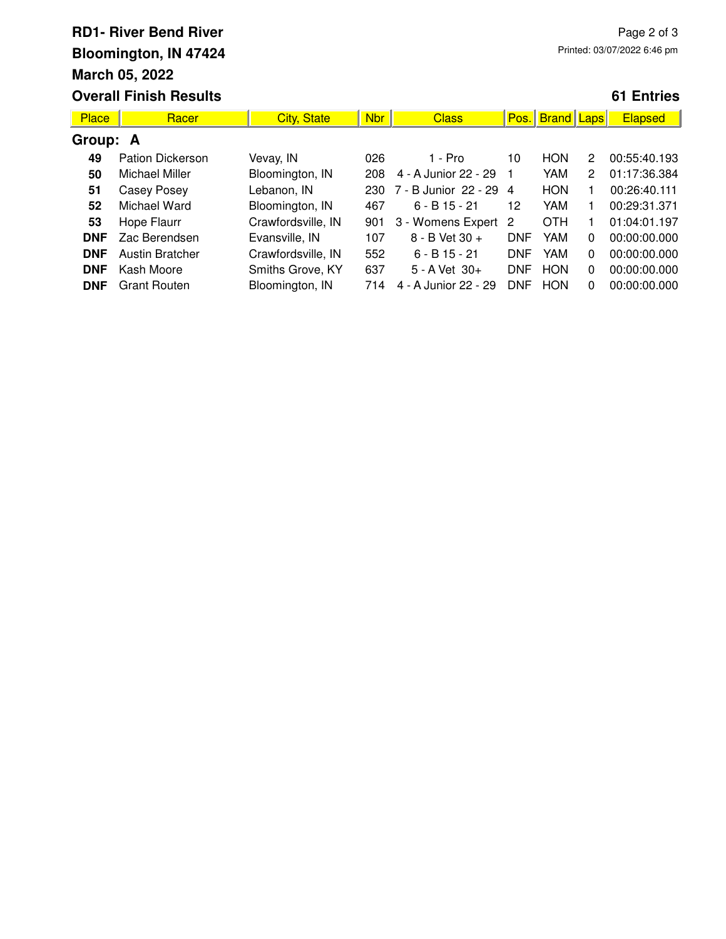### **RD1- River Bend River Bloomington, IN 47424 March 05, 2022 Overall Finish Results**

### **61 Entries**

| <b>Place</b> | Racer                   | <b>City, State</b> | <b>Nbr</b> | <b>Class</b>           | Pos.       | <b>Brand</b>   Laps |          | <b>Elapsed</b> |  |
|--------------|-------------------------|--------------------|------------|------------------------|------------|---------------------|----------|----------------|--|
| Group: A     |                         |                    |            |                        |            |                     |          |                |  |
| 49           | <b>Pation Dickerson</b> | Vevay, IN          | 026        | $1 - Pro$              | 10         | <b>HON</b>          | 2        | 00:55:40.193   |  |
| 50           | Michael Miller          | Bloomington, IN    | 208        | 4 - A Junior 22 - 29   |            | YAM                 | 2        | 01:17:36.384   |  |
| 51           | Casey Posey             | Lebanon, IN        | 230        | 7 - B Junior 22 - 29 4 |            | <b>HON</b>          |          | 00:26:40.111   |  |
| 52           | Michael Ward            | Bloomington, IN    | 467        | $6 - B$ 15 - 21        | 12         | YAM                 |          | 00:29:31.371   |  |
| 53           | Hope Flaurr             | Crawfordsville, IN | 901        | 3 - Womens Expert      | -2         | OTH                 |          | 01:04:01.197   |  |
| <b>DNF</b>   | Zac Berendsen           | Evansville, IN     | 107        | 8 - B Vet 30 +         | <b>DNF</b> | YAM                 | 0        | 00:00:00.000   |  |
| <b>DNF</b>   | Austin Bratcher         | Crawfordsville, IN | 552        | $6 - B$ 15 - 21        | <b>DNF</b> | YAM                 | 0        | 00:00:00.000   |  |
| <b>DNF</b>   | Kash Moore              | Smiths Grove, KY   | 637        | $5 - A$ Vet $30+$      | <b>DNF</b> | <b>HON</b>          | $\Omega$ | 00:00:00.000   |  |
| <b>DNF</b>   | <b>Grant Routen</b>     | Bloomington, IN    | 714        | 4 - A Junior 22 - 29   | <b>DNF</b> | <b>HON</b>          | 0        | 00:00:00.000   |  |